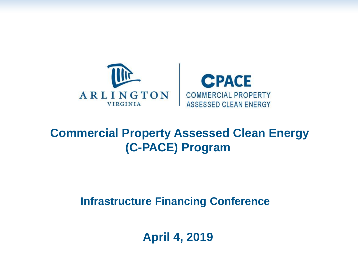



### **Commercial Property Assessed Clean Energy (C-PACE) Program**

**Infrastructure Financing Conference**

**April 4, 2019**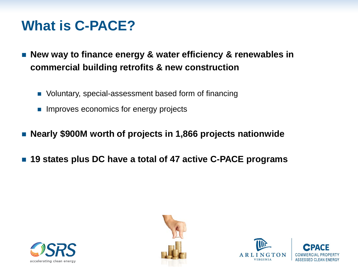### **What is C-PACE?**

- New way to finance energy & water efficiency & renewables in **commercial building retrofits & new construction**
	- Voluntary, special-assessment based form of financing
	- **Improves economics for energy projects**
- **Nearly \$900M worth of projects in 1,866 projects nationwide**
- **19 states plus DC have a total of 47 active C-PACE programs**





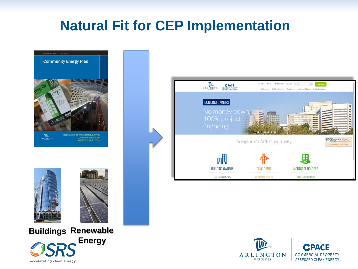### **Natural Fit for CEP Implementation**





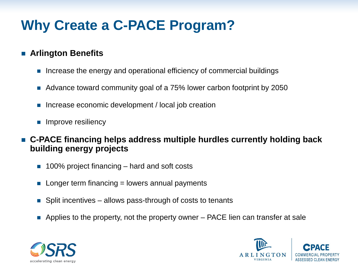## **Why Create a C-PACE Program?**

#### **Arlington Benefits**

- **Increase the energy and operational efficiency of commercial buildings**
- Advance toward community goal of a 75% lower carbon footprint by 2050
- Increase economic development / local job creation
- **Improve resiliency**
- **C-PACE financing helps address multiple hurdles currently holding back building energy projects**
	- 100% project financing hard and soft costs
	- $\blacksquare$  Longer term financing = lowers annual payments
	- Split incentives allows pass-through of costs to tenants
	- Applies to the property, not the property owner  $-$  PACE lien can transfer at sale



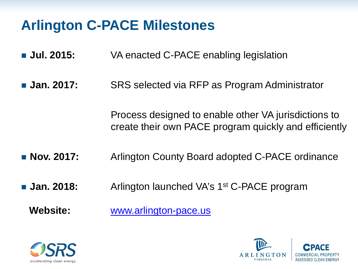## **Arlington C-PACE Milestones**

- **Jul. 2015:** VA enacted C-PACE enabling legislation
- **Jan. 2017:** SRS selected via RFP as Program Administrator

Process designed to enable other VA jurisdictions to create their own PACE program quickly and efficiently

- **Nov. 2017:** Arlington County Board adopted C-PACE ordinance
- **Jan. 2018:** Arlington launched VA's 1<sup>st</sup> C-PACE program

**Website:** [www.arlington-pace.us](http://www.arlington-pace.us/)



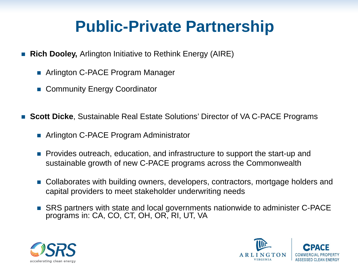# **Public-Private Partnership**

- **Rich Dooley, Arlington Initiative to Rethink Energy (AIRE)** 
	- Arlington C-PACE Program Manager
	- Community Energy Coordinator
- **Scott Dicke**, Sustainable Real Estate Solutions' Director of VA C-PACE Programs
	- Arlington C-PACE Program Administrator
	- **Provides outreach, education, and infrastructure to support the start-up and** sustainable growth of new C-PACE programs across the Commonwealth
	- Collaborates with building owners, developers, contractors, mortgage holders and capital providers to meet stakeholder underwriting needs
	- SRS partners with state and local governments nationwide to administer C-PACE programs in: CA, CO, CT, OH, OR, RI, UT, VA



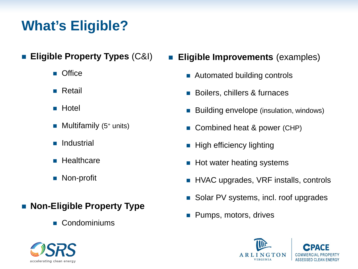### **What's Eligible?**

- **Eligible Property Types** (C&I)
	- **D** Office
	- **Retail**
	- Hotel
	- $\blacksquare$  Multifamily (5<sup>+</sup> units)
	- **Industrial**
	- **Healthcare**
	- Non-profit
- **Non-Eligible Property Type** 
	- Condominiums



- **Eligible Improvements** (examples)
	- Automated building controls
	- Boilers, chillers & furnaces
	- Building envelope (insulation, windows)
	- Combined heat & power (CHP)
	- $\blacksquare$  High efficiency lighting
	- $\blacksquare$  Hot water heating systems
	- HVAC upgrades, VRF installs, controls
	- Solar PV systems, incl. roof upgrades
	- Pumps, motors, drives

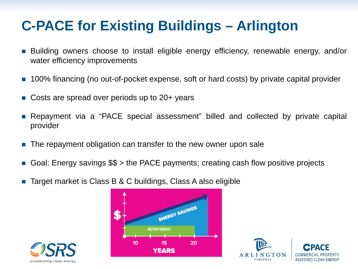## **C-PACE for Existing Buildings – Arlington**

- Building owners choose to install eligible energy efficiency, renewable energy, and/or water efficiency improvements
- **100% financing (no out-of-pocket expense, soft or hard costs) by private capital provider**
- Costs are spread over periods up to 20+ years
- Repayment via a "PACE special assessment" billed and collected by private capital provider
- The repayment obligation can transfer to the new owner upon sale
- Goal: Energy savings \$\$ > the PACE payments; creating cash flow positive projects
- Target market is Class B & C buildings, Class A also eligible





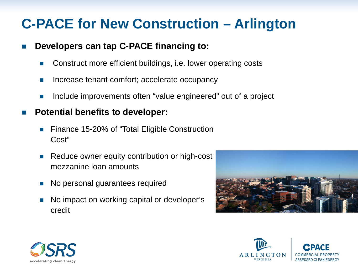### **C-PACE for New Construction – Arlington**

#### **Developers can tap C-PACE financing to:**

- Construct more efficient buildings, i.e. lower operating costs
- **Increase tenant comfort; accelerate occupancy**
- **Include improvements often "value engineered" out of a project**

#### **Potential benefits to developer:**

- Finance 15-20% of "Total Eligible Construction Cost"
- Reduce owner equity contribution or high-cost mezzanine loan amounts
- No personal guarantees required
- No impact on working capital or developer's credit





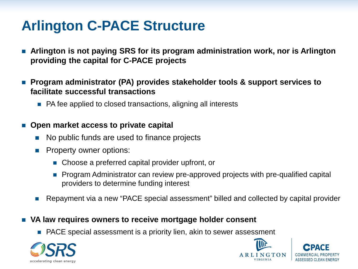### **Arlington C-PACE Structure**

 **Arlington is not paying SRS for its program administration work, nor is Arlington providing the capital for C-PACE projects**

■ Program administrator (PA) provides stakeholder tools & support services to **facilitate successful transactions** 

■ PA fee applied to closed transactions, aligning all interests

#### ■ Open market access to private capital

- No public funds are used to finance projects
- Property owner options:
	- Choose a preferred capital provider upfront, or
	- Program Administrator can review pre-approved projects with pre-qualified capital providers to determine funding interest
- Repayment via a new "PACE special assessment" billed and collected by capital provider

#### **VA law requires owners to receive mortgage holder consent**

■ PACE special assessment is a priority lien, akin to sewer assessment



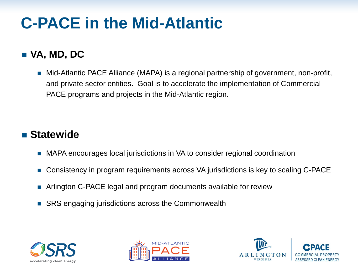# **C-PACE in the Mid-Atlantic**

### **VA, MD, DC**

■ Mid-Atlantic PACE Alliance (MAPA) is a regional partnership of government, non-profit, and private sector entities. Goal is to accelerate the implementation of Commercial PACE programs and projects in the Mid-Atlantic region.

### **Statewide**

- MAPA encourages local jurisdictions in VA to consider regional coordination
- Consistency in program requirements across VA jurisdictions is key to scaling C-PACE
- Arlington C-PACE legal and program documents available for review
- SRS engaging jurisdictions across the Commonwealth